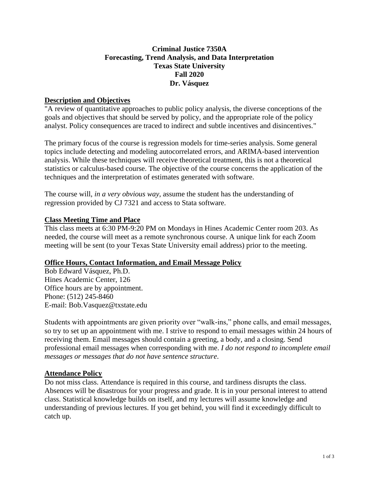# **Criminal Justice 7350A Forecasting, Trend Analysis, and Data Interpretation Texas State University Fall 2020 Dr. Vásquez**

# **Description and Objectives**

"A review of quantitative approaches to public policy analysis, the diverse conceptions of the goals and objectives that should be served by policy, and the appropriate role of the policy analyst. Policy consequences are traced to indirect and subtle incentives and disincentives."

The primary focus of the course is regression models for time-series analysis. Some general topics include detecting and modeling autocorrelated errors, and ARIMA-based intervention analysis. While these techniques will receive theoretical treatment, this is not a theoretical statistics or calculus-based course. The objective of the course concerns the application of the techniques and the interpretation of estimates generated with software.

The course will, *in a very obvious way*, assume the student has the understanding of regression provided by CJ 7321 and access to Stata software.

# **Class Meeting Time and Place**

This class meets at 6:30 PM-9:20 PM on Mondays in Hines Academic Center room 203. As needed, the course will meet as a remote synchronous course. A unique link for each Zoom meeting will be sent (to your Texas State University email address) prior to the meeting.

# **Office Hours, Contact Information, and Email Message Policy**

Bob Edward Vásquez, Ph.D. Hines Academic Center, 126 Office hours are by appointment. Phone: (512) 245-8460 E-mail: Bob.Vasquez@txstate.edu

Students with appointments are given priority over "walk-ins," phone calls, and email messages, so try to set up an appointment with me. I strive to respond to email messages within 24 hours of receiving them. Email messages should contain a greeting, a body, and a closing. Send professional email messages when corresponding with me. *I do not respond to incomplete email messages or messages that do not have sentence structure*.

# **Attendance Policy**

Do not miss class. Attendance is required in this course, and tardiness disrupts the class. Absences will be disastrous for your progress and grade. It is in your personal interest to attend class. Statistical knowledge builds on itself, and my lectures will assume knowledge and understanding of previous lectures. If you get behind, you will find it exceedingly difficult to catch up.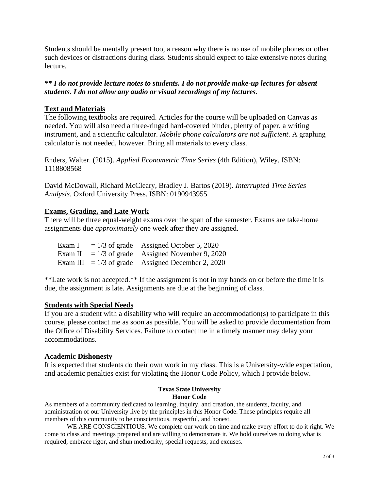Students should be mentally present too, a reason why there is no use of mobile phones or other such devices or distractions during class. Students should expect to take extensive notes during lecture.

*\*\* I do not provide lecture notes to students. I do not provide make-up lectures for absent students***.** *I do not allow any audio or visual recordings of my lectures.*

## **Text and Materials**

The following textbooks are required. Articles for the course will be uploaded on Canvas as needed. You will also need a three-ringed hard-covered binder, plenty of paper, a writing instrument, and a scientific calculator. *Mobile phone calculators are not sufficient*. A graphing calculator is not needed, however. Bring all materials to every class.

Enders, Walter. (2015). *Applied Econometric Time Series* (4th Edition), Wiley, ISBN: 1118808568

David McDowall, Richard McCleary, Bradley J. Bartos (2019). *Interrupted Time Series Analysis*. Oxford University Press. ISBN: 0190943955

## **Exams, Grading, and Late Work**

There will be three equal-weight exams over the span of the semester. Exams are take-home assignments due *approximately* one week after they are assigned.

| Exam I  | $= 1/3$ of grade          | Assigned October 5, 2020                   |
|---------|---------------------------|--------------------------------------------|
| Exam II |                           | $= 1/3$ of grade Assigned November 9, 2020 |
|         | Exam III $= 1/3$ of grade | Assigned December 2, 2020                  |

\*\*Late work is not accepted.\*\* If the assignment is not in my hands on or before the time it is due, the assignment is late. Assignments are due at the beginning of class.

## **Students with Special Needs**

If you are a student with a disability who will require an accommodation(s) to participate in this course, please contact me as soon as possible. You will be asked to provide documentation from the Office of Disability Services. Failure to contact me in a timely manner may delay your accommodations.

## **Academic Dishonesty**

It is expected that students do their own work in my class. This is a University-wide expectation, and academic penalties exist for violating the Honor Code Policy, which I provide below.

## **Texas State University Honor Code**

As members of a community dedicated to learning, inquiry, and creation, the students, faculty, and administration of our University live by the principles in this Honor Code. These principles require all members of this community to be conscientious, respectful, and honest.

WE ARE CONSCIENTIOUS. We complete our work on time and make every effort to do it right. We come to class and meetings prepared and are willing to demonstrate it. We hold ourselves to doing what is required, embrace rigor, and shun mediocrity, special requests, and excuses.